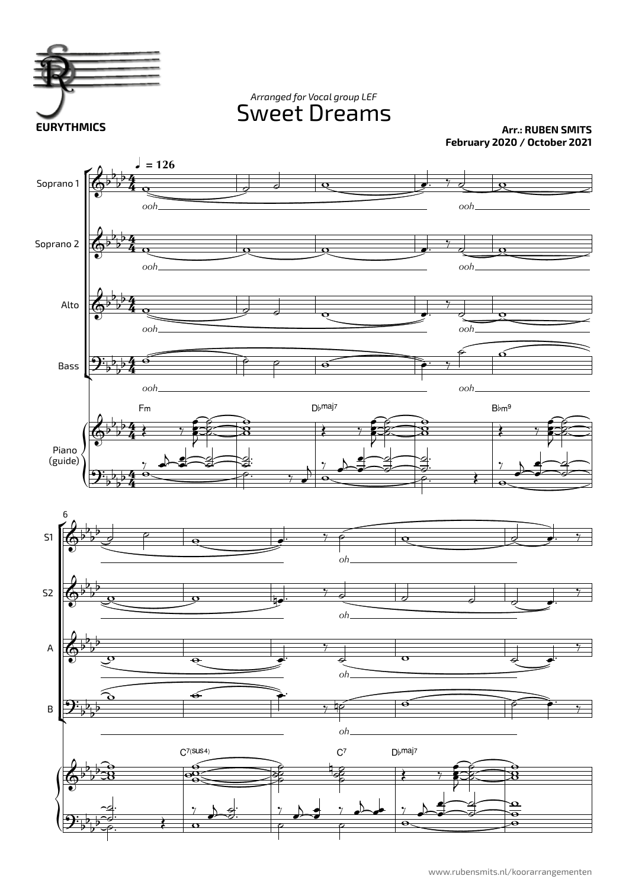

Sweet Dreams *Arranged for Vocal group LEF*

**Arr.: RUBEN SMITS February 2020 / October 2021**

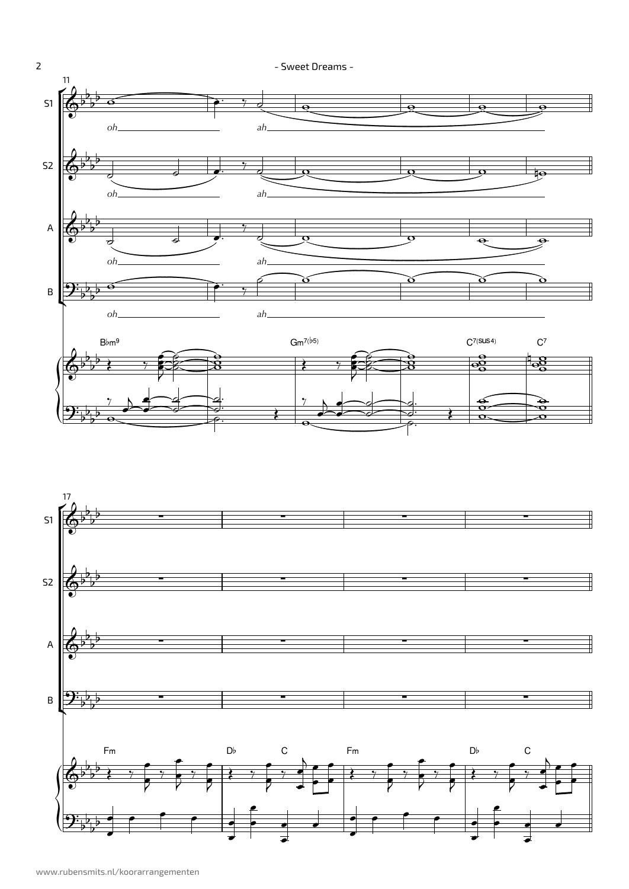

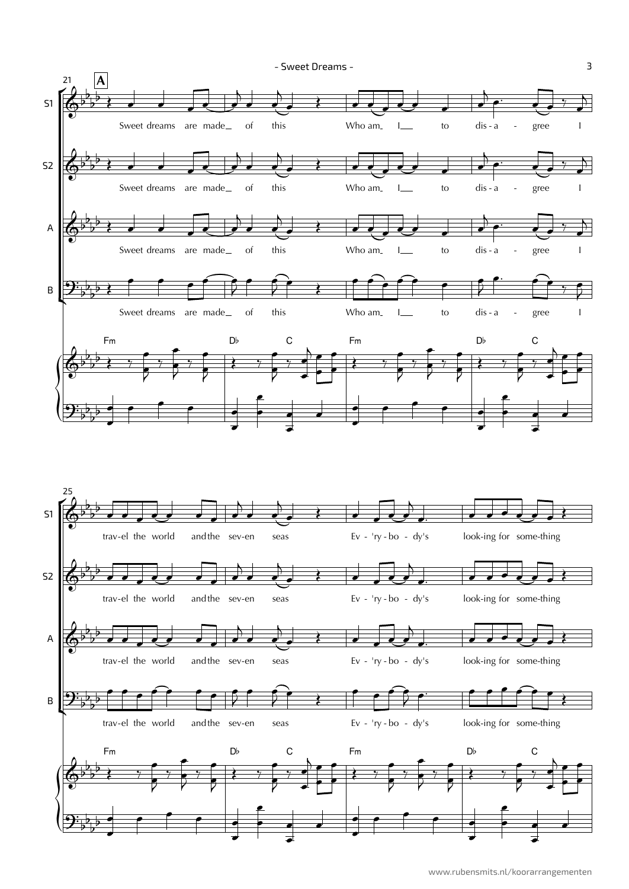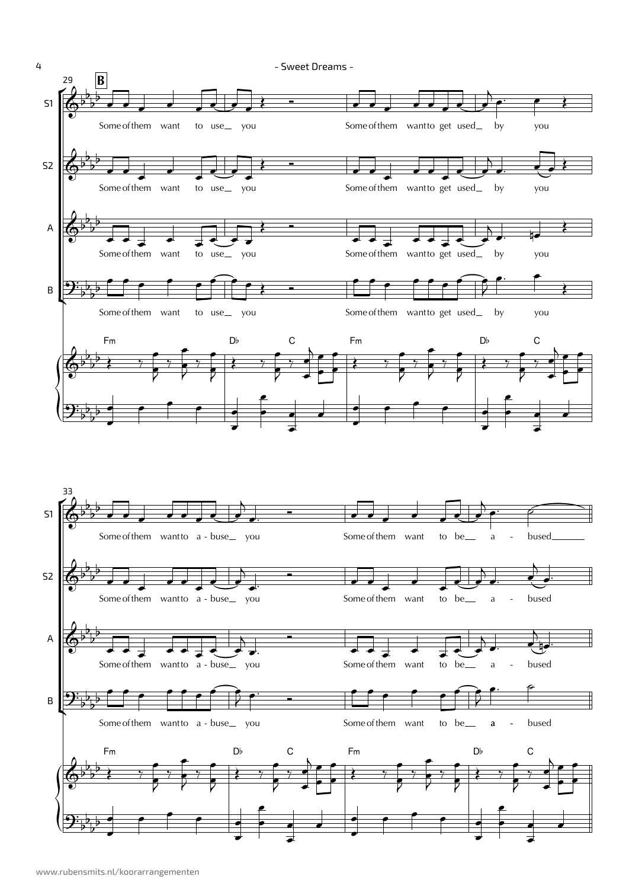